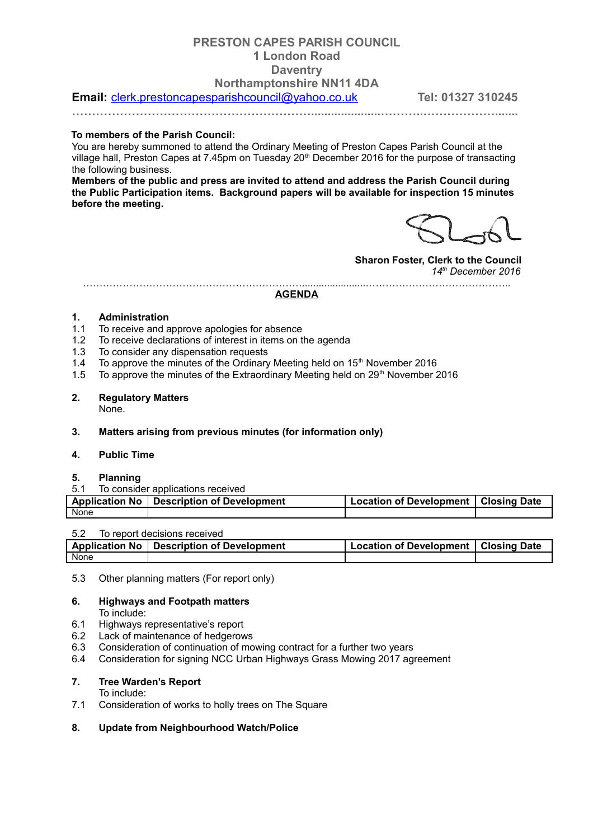# **PRESTON CAPES PARISH COUNCIL 1 London Road Daventry Northamptonshire NN11 4DA**

**Email:** [clerk.prestoncapesparishcouncil@yahoo.co.uk](mailto:clerk.prestoncapesparishcouncil@yahoo.co.uk) **Tel: 01327 310245** 

**…………………………………………………….....................………..……………….......**

### **To members of the Parish Council:**

You are hereby summoned to attend the Ordinary Meeting of Preston Capes Parish Council at the village hall, Preston Capes at 7.45pm on Tuesday 20<sup>th</sup> December 2016 for the purpose of transacting the following business.

**Members of the public and press are invited to attend and address the Parish Council during the Public Participation items. Background papers will be available for inspection 15 minutes before the meeting.**

**Sharon Foster, Clerk to the Council** *14th December 2016*

#### ………………………………………………………….......................…………………………………….. **AGENDA**

### **1. Administration**

- 1.1 To receive and approve apologies for absence
- 1.2 To receive declarations of interest in items on the agenda
- 1.3 To consider any dispensation requests
- 1.4 To approve the minutes of the Ordinary Meeting held on  $15<sup>th</sup>$  November 2016
- 1.5 To approve the minutes of the Extraordinary Meeting held on  $29<sup>th</sup>$  November 2016

# **2. Regulatory Matters**

None.

# **3. Matters arising from previous minutes (for information only)**

## **4. Public Time**

### **5. Planning**

#### 5.1 To consider applications received

|      | Application No   Description of Development | Location of Development   Closing Date |  |
|------|---------------------------------------------|----------------------------------------|--|
| None |                                             |                                        |  |

### 5.2 To report decisions received

|      | Application No   Description of Development | Location of Development   Closing Date \, |  |
|------|---------------------------------------------|-------------------------------------------|--|
| None |                                             |                                           |  |

5.3 Other planning matters (For report only)

### **6. Highways and Footpath matters**

To include:

- 6.1 Highways representative's report
- 6.2 Lack of maintenance of hedgerows
- 6.3 Consideration of continuation of mowing contract for a further two years
- 6.4 Consideration for signing NCC Urban Highways Grass Mowing 2017 agreement

# **7. Tree Warden's Report**

- To include:
- 7.1 Consideration of works to holly trees on The Square

### **8. Update from Neighbourhood Watch/Police**